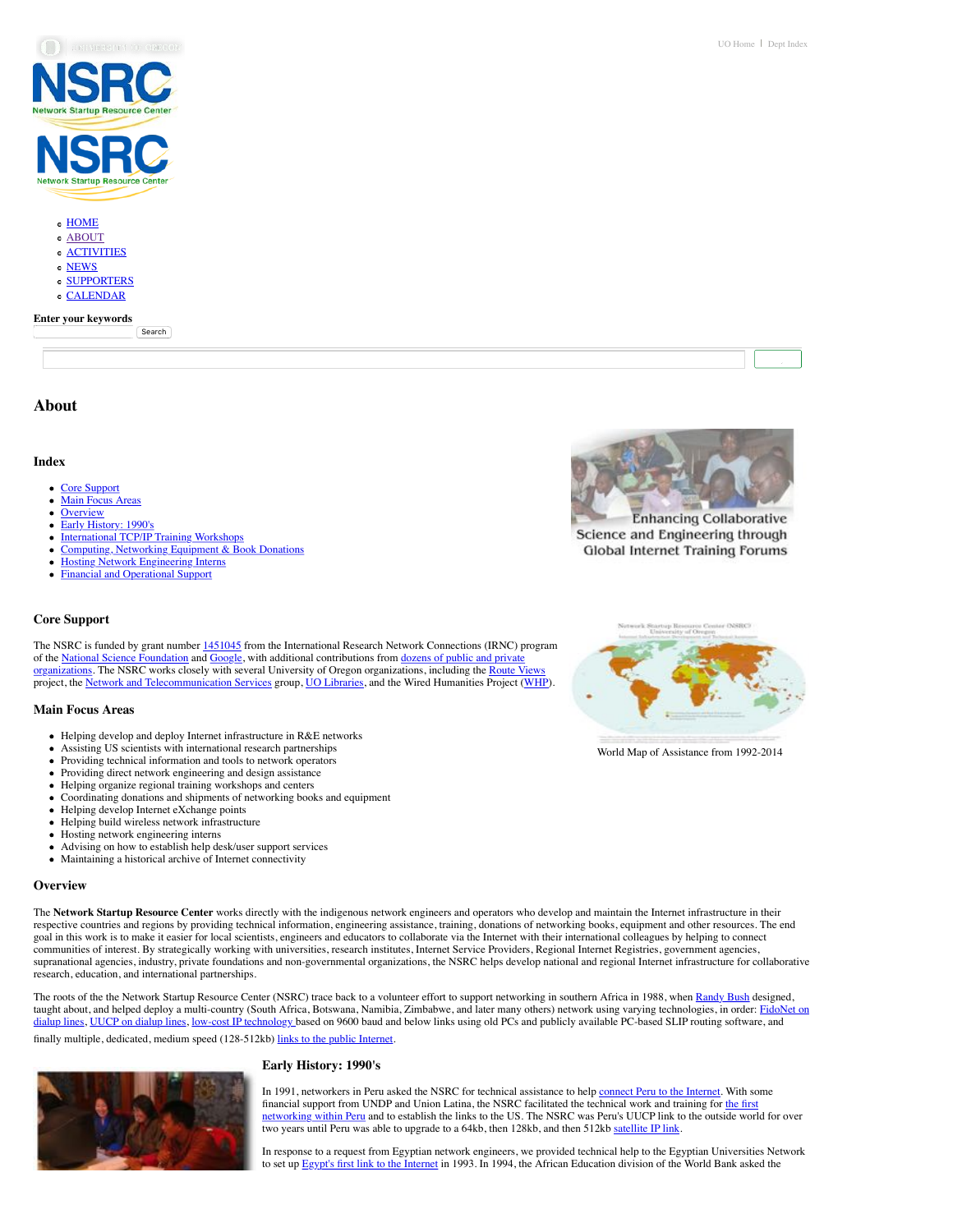

[ABOUT](https://nsrc.org/about) [ACTIVITIES](https://nsrc.org/activities) [NEWS](https://nsrc.org/news) **[SUPPORTERS](https://nsrc.org/supporters)** [CALENDAR](https://nsrc.org/calendar)

## **Enter your keywords**

**Search** 

**About**

### **Index**

- [Core Support](https://nsrc.org/about#support)
- Main Focus Are
- **[Overview](https://nsrc.org/about#overview)**
- [Early History: 1990's](https://nsrc.org/about#early)
- [International TCP/IP Training Workshops](https://nsrc.org/about#workshops)
- [Computing, Networking Equipment & Book Donations](https://nsrc.org/about#donations)
- [Hosting Network Engineering Interns](https://nsrc.org/about#interns)
- [Financial and Operational Support](https://nsrc.org/about#support)

### **Core Support**

The NSRC is funded by grant number [1451045](http://www.nsf.gov/awardsearch/showAward?AWD_ID=1451045) from the International Research Network Connections (IRNC) program of the <u>National Science Foundation</u> and [Google,](http://uonews.uoregon.edu/archive/news-release/2013/2/google-grant-boosts-uo-based-centers-technical-training-africa) with additional contributions from <u>dozens of public and private</u> [organizations. The NSRC works closely with several University of Oregon organizations, including the Route](https://nsrc.org/supporters) Vie project, the [Network and Telecommunication Services](http://it.uoregon.edu/is/nts) group, [UO Libraries,](http://libweb.uoregon.edu/) and the Wired Humanities Project ([WHP\)](http://whp.uoregon.edu/).

### **Main Focus Areas**

- Helping develop and deploy Internet infrastructure in R&E networks
- Assisting US scientists with international research partnerships
- Providing technical information and tools to network operators
- Providing direct network engineering and design assistance
- Helping organize regional training workshops and centers  $\bullet$
- Coordinating donations and shipments of networking books and equipment
- Helping develop Internet eXchange points  $\bullet$
- Helping build wireless network infrastructure
- $\bullet$ Hosting network engineering interns
- Advising on how to establish help desk/user support services
- Maintaining a historical archive of Internet connectivity

#### **Overview**

The **Network Startup Resource Center** works directly with the indigenous network engineers and operators who develop and maintain the Internet infrastructure in their respective countries and regions by providing technical information, engineering assistance, training, donations of networking books, equipment and other resources. The end goal in this work is to make it easier for local scientists, engineers and educators to collaborate via the Internet with their international colleagues by helping to connect communities of interest. By strategically working with universities, research institutes, Internet Service Providers, Regional Internet Registries, government agencies, supranational agencies, industry, private foundations and non-governmental organizations, the NSRC helps develop national and regional Internet infrastructure for collaborative research, education, and international partnerships.

The roots of the the Network Startup Resource Center (NSRC) trace back to a volunteer effort to support networking in southern Africa in 1988, when [Randy Bush](http://psg.com/~randy) designed, [taught about, and helped deploy a multi-country \(South Africa, Botswana, Namibia, Zimbabwe, and later many others\) network using varying technologies, in order: FidoNet on](http://www.nsrc.org/db/lookup/operation=lookup-report/ID=896820010472:489008357/fromPage=ZA) dialup lines, [UUCP on dialup lines,](http://www.nsrc.org/db/lookup/operation=lookup-report/ID=898128827821:488960662/fromPage=ZA) [low-cost IP technology](https://nsrc.org/archives/lowcost_tools) based on 9600 baud and below links using old PCs and publicly available PC-based SLIP routing software, and finally multiple, dedicated, medium speed (128-512kb) [links to the public Internet.](http://www.nsrc.org/db/lookup/operation=lookup-report/ID=896820262105:488982630/fromPage=ZA)

## **Early History: 1990's**



In 1991, networkers in Peru asked the NSRC for technical assistance to help [connect Peru to the Internet.](http://ekeko.rcp.net.pe/index2.htm) With some financial support from UNDP and Union Latina, the NSRC facilitated the technical work and training for the first [networking within Peru and to establish the links to the US. The NSRC was Peru's UUCP link to the outside worl](http://www.nsrc.org/db/lookup/operation=lookup-report/ID=897025400829:489015445/fromPage=PE)d for over two years until Peru was able to upgrade to a 64kb, then 128kb, and then 512kb [satellite IP link.](http://www.nsrc.org/db/lookup/operation=lookup-report/ID=890202524581:497432111/fromPage=PE)

In response to a request from Egyptian network engineers, we provided technical help to the Egyptian Universities Network to set up [Egypt's first link to the Internet](http://www.nsrc.org/db/lookup/operation=lookup-report/ID=898020771119:488981436/fromPage=EG) in 1993. In 1994, the African Education division of the World Bank asked the



**Enhancing Collaborative** Science and Engineering through **Global Internet Training Forums** 



[World Map of Assistance from 1992-2014](https://nsrc.org/gifs/world_help/world_help_map_large.jpg)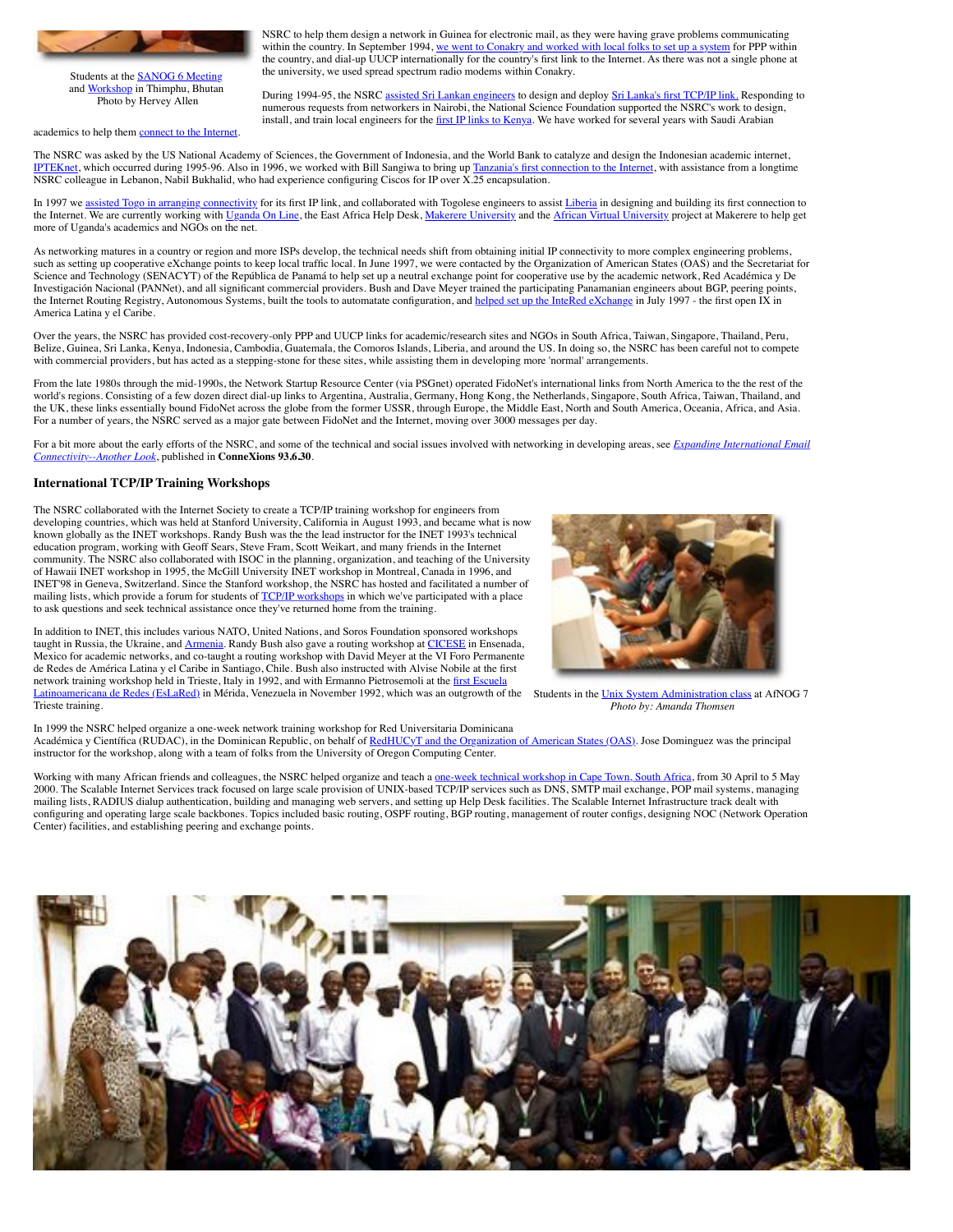

Students at the [SANOG 6 Meeting](http://www.sanog.org/sanog6/) and [Workshop](http://ws.edu.isoc.org/workshops/2005/SANOG-VI/) in Thimphu, Bhutan Photo by Hervey Allen

academics to help them [connect to the Internet.](http://www.nsrc.org/db/lookup/operation=lookup-report/ID=890202492267:497433273/fromPage=SA)

NSRC to help them design a network in Guinea for electronic mail, as they were having grave problems communicating within the country. In September 1994, [we went to Conakry and worked with local folks to set up a system](http://www.nsrc.org/db/lookup/operation=lookup-report/ID=890202303003:497426928/fromPage=GN) for PPP within the country, and dial-up UUCP internationally for the country's first link to the Internet. As there was not a single phone at the university, we used spread spectrum radio modems within Conakry.

During 1994-95, the NSRC [assisted Sri Lankan engineers](http://www.nsrc.org/db/lookup/operation=lookup-report/ID=908226925590:489054571/fromPage=LK) to design and deploy [Sri Lanka's first TCP/IP link.](http://www.nsrc.org/db/lookup/operation=lookup-report/ID=890202381875:497424460/fromPage=LK) Responding to numerous requests from networkers in Nairobi, the National Science Foundation supported the NSRC's work to design, install, and train local engineers for the [first IP links to Kenya.](http://www.nsrc.org/db/lookup/operation=lookup-report/ID=890202304929:497425105/fromPage=KE) We have worked for several years with Saudi Arabian

The NSRC was asked by the US National Academy of Sciences, the Government of Indonesia, and the World Bank to catalyze and design the Indonesian academic internet, [IPTEKnet](http://www.iptek.net.id/), which occurred during 1995-96. Also in 1996, we worked with Bill Sangiwa to bring up [Tanzania's first connection to the Internet,](http://www.nsrc.org/db/lookup/operation=lookup-report/ID=890202327271:497425829/fromPage=TZ) with assistance from a longtime NSRC colleague in Lebanon, Nabil Bukhalid, who had experience configuring Ciscos for IP over X.25 encapsulation.

In 1997 we [assisted Togo in arranging connectivity](http://www.nsrc.org/db/lookup/operation=lookup-report/ID=890202324940:497428553/fromPage=TG) for its first IP link, and collaborated with Togolese engineers to assist [Liberia](http://www.nsrc.org/db/lookup/operation=lookup-report/ID=904942734056:488973702/fromPage=LR) in designing and building its first connection to the Internet. We are currently working with [Uganda On Line](http://www.uol.co.ug/), the East Africa Help Desk, [Makerere University](http://www.makerere.ac.ug/) and the [African Virtual University](http://www.avumuk.ac.ug/) project at Makerere to help get more of Uganda's academics and NGOs on the net.

As networking matures in a country or region and more ISPs develop, the technical needs shift from obtaining initial IP connectivity to more complex engineering problems, such as setting up cooperative eXchange points to keep local traffic local. In June 1997, we were contacted by the Organization of American States (OAS) and the Secretariat for Science and Technology (SENACYT) of the República de Panamá to help set up a neutral exchange point for cooperative use by the academic network, Red Académica y De Investigación Nacional (PANNet), and all significant commercial providers. Bush and Dave Meyer trained the participating Panamanian engineers about BGP, peering points, the Internet Routing Registry, Autonomous Systems, built the tools to automatate configuration, and [helped set up the InteRed eXchange](https://rip.psg.com/~randy/970810.intered/) in July 1997 - the first open IX in America Latina y el Caribe.

Over the years, the NSRC has provided cost-recovery-only PPP and UUCP links for academic/research sites and NGOs in South Africa, Taiwan, Singapore, Thailand, Peru, Belize, Guinea, Sri Lanka, Kenya, Indonesia, Cambodia, Guatemala, the Comoros Islands, Liberia, and around the US. In doing so, the NSRC has been careful not to compete with commercial providers, but has acted as a stepping-stone for these sites, while assisting them in developing more 'normal' arrangements.

From the late 1980s through the mid-1990s, the Network Startup Resource Center (via PSGnet) operated FidoNet's international links from North America to the the rest of the world's regions. Consisting of a few dozen direct dial-up links to Argentina, Australia, Germany, Hong Kong, the Netherlands, Singapore, South Africa, Taiwan, Thailand, and the UK, these links essentially bound FidoNet across the globe from the former USSR, through Europe, the Middle East, North and South America, Oceania, Africa, and Asia. For a number of years, the NSRC served as a major gate between FidoNet and the Internet, moving over 3000 messages per day.

[For a bit more about the early efforts of the NSRC, and some of the technical and social issues involved with networking in developing areas, see](https://nsrc.org/articles/930600.connexions) *Expanding International Email Connectivity--Another Look*, published in **ConneXions 93.6.30**.

### **International TCP/IP Training Workshops**

The NSRC collaborated with the Internet Society to create a TCP/IP training workshop for engineers from developing countries, which was held at Stanford University, California in August 1993, and became what is now known globally as the INET workshops. Randy Bush was the the lead instructor for the INET 1993's technical education program, working with Geoff Sears, Steve Fram, Scott Weikart, and many friends in the Internet community. The NSRC also collaborated with ISOC in the planning, organization, and teaching of the University of Hawaii INET workshop in 1995, the McGill University INET workshop in Montreal, Canada in 1996, and INET'98 in Geneva, Switzerland. Since the Stanford workshop, the NSRC has hosted and facilitated a number of mailing lists, which provide a forum for students of [TCP/IP workshops](https://nsrc.org/workshops/) in which we've participated with a place to ask questions and seek technical assistance once they've returned home from the training.

Latinoamericana de Redes (EsLaRed) in Mérida, Venezuela in November 1992, which was an outgrowth of the Students in the [Unix System Administration class](http://www.ws.afnog.org/afnog2006/e0/) at AfNOG 7 In addition to INET, this includes various NATO, United Nations, and Soros Foundation sponsored workshops taught in Russia, the Ukraine, and [Armenia.](http://web.archive.org/web/20020425181144/http://www.yerphi.am/confer/NATOworkshop/html1.htm) Randy Bush also gave a routing workshop at [CICESE](http://www.cicese.mx/) in Ensenada, Mexico for academic networks, and co-taught a routing workshop with David Meyer at the VI Foro Permanente de Redes de América Latina y el Caribe in Santiago, Chile. Bush also instructed with Alvise Nobile at the first network training workshop held in Trieste, Italy in 1992, and with Ermanno Pietrosemoli at the first Escuel Trieste training.



*Photo by: Amanda Thomsen*

In 1999 the NSRC helped organize a one-week network training workshop for Red Universitaria Dominicana Académica y Científica (RUDAC), in the Dominican Republic, on behalf of [RedHUCyT and the Organization of American States \(OAS\).](http://www.redhucyt.oas.org/webing/seminars.htm) Jose Dominguez was the principal instructor for the workshop, along with a team of folks from the University of Oregon Computing Center.

Working with many African friends and colleagues, the NSRC helped organize and teach a [one-week technical workshop in Cape Town, South Africa,](http://www.afnog.org/afnog2000/) from 30 April to 5 May 2000. The Scalable Internet Services track focused on large scale provision of UNIX-based TCP/IP services such as DNS, SMTP mail exchange, POP mail systems, managing mailing lists, RADIUS dialup authentication, building and managing web servers, and setting up Help Desk facilities. The Scalable Internet Infrastructure track dealt with configuring and operating large scale backbones. Topics included basic routing, OSPF routing, BGP routing, management of router configs, designing NOC (Network Operation Center) facilities, and establishing peering and exchange points.

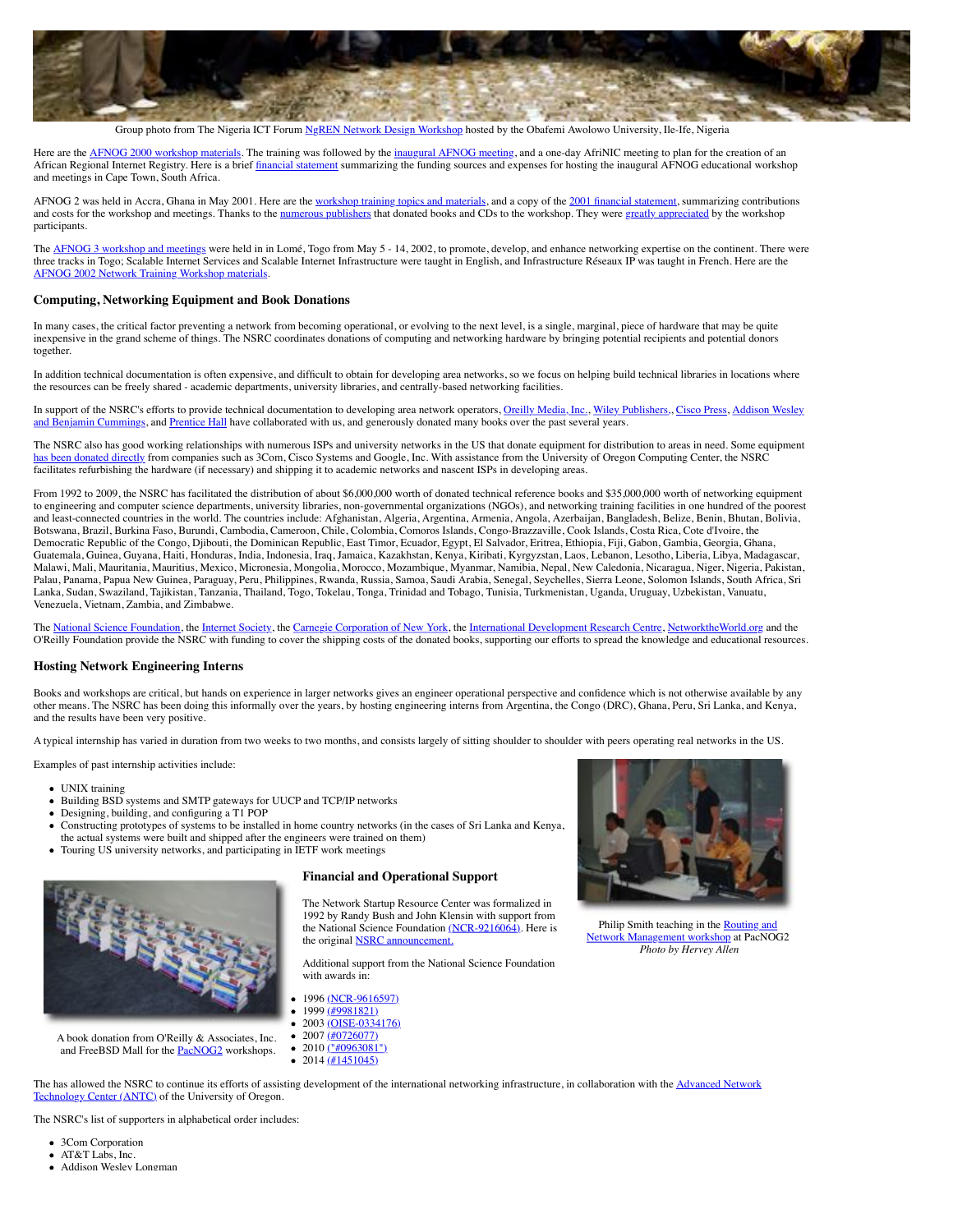

Group photo from The Nigeria ICT Forum [NgREN Network Design Workshop](https://nsrc.org/workshops/2011/nsrc-ng-forum/) hosted by the Obafemi Awolowo University, Ile-Ife, Nigeria

Here are the [AFNOG 2000 workshop materials.](http://www.ws.afnog.org/afnog2000/index.htm) The training was followed by the [inaugural AFNOG meeting,](http://www.afnog.org/afnog2000/prog.html) and a one-day AfriNIC meeting to plan for the creation of an African Regional Internet Registry. Here is a brief [financial statement](https://nsrc.org/afnog/aFNOG-2000-Final.html) summarizing the funding sources and expenses for hosting the inaugural AFNOG educational workshop and meetings in Cape Town, South Africa.

AFNOG 2 was held in Accra, Ghana in May 2001. Here are the [workshop training topics and materials](http://www.ws.afnog.org/afnog2001/index.htm), and a copy of the [2001 financial statement,](https://nsrc.org/afnog/aFNOG-2001-Final.html) summarizing contributions and costs for the workshop and meetings. Thanks to the [numerous publishers](http://nsrc.org/aFRICA/aFNOG-2001/workshop/books.jpg) that donated books and CDs to the workshop. They were [greatly appreciated](http://nsrc.org/aFRICA/aFNOG-2001/workshop/tewelde.jpg) by the workshop participants.

The [AFNOG 3 workshop and meetings](https://nsrc.org/afnog/afnog3.pdf) were held in in Lomé, Togo from May 5 - 14, 2002, to promote, develop, and enhance networking expertise on the continent. There were three tracks in Togo; Scalable Internet Services and Scalable Internet Infrastructure were taught in English, and Infrastructure Réseaux IP was taught in French. Here are the [AFNOG 2002 Network Training Workshop materials.](http://www.ws.afnog.org/afnog2002/index.htm)

### **Computing, Networking Equipment and Book Donations**

In many cases, the critical factor preventing a network from becoming operational, or evolving to the next level, is a single, marginal, piece of hardware that may be quite inexpensive in the grand scheme of things. The NSRC coordinates donations of computing and networking hardware by bringing potential recipients and potential donors together.

In addition technical documentation is often expensive, and difficult to obtain for developing area networks, so we focus on helping build technical libraries in locations where the resources can be freely shared - academic departments, university libraries, and centrally-based networking facilities.

[In support of the NSRC's efforts to provide technical documentation to developing area network operators,](http://www.aw-bc.com/) [Oreilly Media, Inc.](http://www.ora.com/)[,](http://www.aw-bc.com/) [Wiley Publishers,](http://www.wiley.com/), [Cisco Pres](http://www.ciscopress.com/)[s, Addison Wesley](http://www.aw-bc.com/), and Benjamin Cummings, and [Prentice Hall](http://vig.prenhall.com/) have collaborated with us, and generously donated many books over the past several years.

The NSRC also has good working relationships with numerous ISPs and university networks in the US that donate equipment for distribution to areas in need. Some equipment [has been donated directly](http://googleblog.blogspot.com/2007/01/new-life-for-network-equipment.html) from companies such as 3Com, Cisco Systems and Google, Inc. With assistance from the University of Oregon Computing Center, the NSRC facilitates refurbishing the hardware (if necessary) and shipping it to academic networks and nascent ISPs in developing areas.

From 1992 to 2009, the NSRC has facilitated the distribution of about \$6,000,000 worth of donated technical reference books and \$35,000,000 worth of networking equipment to engineering and computer science departments, university libraries, non-governmental organizations (NGOs), and networking training facilities in one hundred of the poorest and least-connected countries in the world. The countries include: Afghanistan, Algeria, Argentina, Armenia, Angola, Azerbaijan, Bangladesh, Belize, Benin, Bhutan, Bolivia, Botswana, Brazil, Burkina Faso, Burundi, Cambodia, Cameroon, Chile, Colombia, Comoros Islands, Congo-Brazzaville, Cook Islands, Costa Rica, Cote d'Ivoire, the Democratic Republic of the Congo, Djibouti, the Dominican Republic, East Timor, Ecuador, Egypt, El Salvador, Eritrea, Ethiopia, Fiji, Gabon, Gambia, Georgia, Ghana, Guatemala, Guinea, Guyana, Haiti, Honduras, India, Indonesia, Iraq, Jamaica, Kazakhstan, Kenya, Kiribati, Kyrgyzstan, Laos, Lebanon, Lesotho, Liberia, Libya, Madagascar, Malawi, Mali, Mauritania, Mauritius, Mexico, Micronesia, Mongolia, Morocco, Mozambique, Myanmar, Namibia, Nepal, New Caledonia, Nicaragua, Niger, Nigeria, Pakistan, Palau, Panama, Papua New Guinea, Paraguay, Peru, Philippines, Rwanda, Russia, Samoa, Saudi Arabia, Senegal, Seychelles, Sierra Leone, Solomon Islands, South Africa, Sri Lanka, Sudan, Swaziland, Tajikistan, Tanzania, Thailand, Togo, Tokelau, Tonga, Trinidad and Tobago, Tunisia, Turkmenistan, Uganda, Uruguay, Uzbekistan, Vanuatu, Venezuela, Vietnam, Zambia, and Zimbabwe.

The [National Science Foundation,](http://www.nsf.gov/) the [Internet Society,](http://www.isoc.org/) the [Carnegie Corporation of New York,](http://www.carnegie.org/) the [International Development Research Centre,](http://www.idrc.ca/) [NetworktheWorld.org](http://www.networktheworld.org/) and the O'Reilly Foundation provide the NSRC with funding to cover the shipping costs of the donated books, supporting our efforts to spread the knowledge and educational resources.

## **Hosting Network Engineering Interns**

Books and workshops are critical, but hands on experience in larger networks gives an engineer operational perspective and confidence which is not otherwise available by any other means. The NSRC has been doing this informally over the years, by hosting engineering interns from Argentina, the Congo (DRC), Ghana, Peru, Sri Lanka, and Kenya, and the results have been very positive.

A typical internship has varied in duration from two weeks to two months, and consists largely of sitting shoulder to shoulder with peers operating real networks in the US.

Examples of past internship activities include:

- UNIX training
- Building BSD systems and SMTP gateways for UUCP and TCP/IP networks
- Designing, building, and configuring a T1 POP
- Constructing prototypes of systems to be installed in home country networks (in the cases of Sri Lanka and Kenya, the actual systems were built and shipped after the engineers were trained on them)
- Touring US university networks, and participating in IETF work meetings



A book donation from O'Reilly & Associates, Inc. and FreeBSD Mall for the **PacNOG2** workshops.

### **Financial and Operational Support**

The Network Startup Resource Center was formalized in 1992 by Randy Bush and John Klensin with support from the National Science Foundation [\(NCR-9216064\).](http://www.nsf.gov/awardsearch/showAward?AWD_ID=9216064) Here is the original **NSRC** announcement

Additional support from the National Science Foundation with awards in:

- 1996 [\(NCR-9616597\)](http://www.nsf.gov/awardsearch/showAward?AWD_ID=9616597)
- 1999 [\(#9981821\)](http://www.nsf.gov/awardsearch/showAward?AWD_ID=9981821)
- 2003 [\(OISE-0334176\)](http://www.nsf.gov/awardsearch/showAward.do?AwardNumber=0334176)
- 2007 [\(#0726077\)](http://www.nsf.gov/awardsearch/showAward?AWD_ID=0726077)
- 2010 [\("#0963081"\)](http://nsf.gov/awardsearch/showAward?AWD_ID=0963081)
- 2014 [\(#1451045\)](http://www.nsf.gov/awardsearch/showAward?AWD_ID=1451045)



[Philip Smith teaching in the](https://nsrc.org/gifs/pacnog-philip-medium.jpg) **[Routing and](http://www.pacnog.org/pacnog2/track2/agenda.html)** [Network Management workshop](http://www.pacnog.org/pacnog2/track2/agenda.html) at PacNOG2 *Photo by Hervey Allen*

[The has allowed the NSRC to continue its efforts of assisting development of the international networking infrastructure, in collaboration with the Advanced Network](http://antc.uoregon.edu/) Technology Center (ANTC) of the University of Oregon.

The NSRC's list of supporters in alphabetical order includes:

- 3Com Corporation • AT&T Labs, Inc.
- Addison Wesley Longman